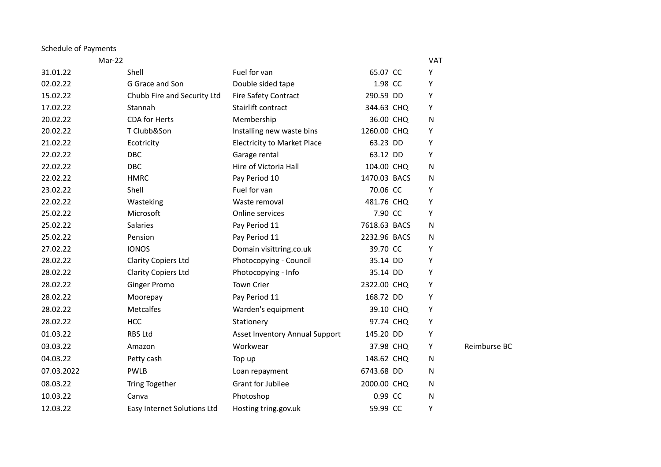## Schedule of Payments

| Mar-22     |                             |                                    |              | <b>VAT</b> |              |
|------------|-----------------------------|------------------------------------|--------------|------------|--------------|
| 31.01.22   | Shell                       | Fuel for van                       | 65.07 CC     | Υ          |              |
| 02.02.22   | G Grace and Son             | Double sided tape                  | 1.98 CC      | Υ          |              |
| 15.02.22   | Chubb Fire and Security Ltd | Fire Safety Contract               | 290.59 DD    | Y          |              |
| 17.02.22   | Stannah                     | Stairlift contract                 | 344.63 CHQ   | Υ          |              |
| 20.02.22   | CDA for Herts               | Membership                         | 36.00 CHQ    | ${\sf N}$  |              |
| 20.02.22   | T Clubb&Son                 | Installing new waste bins          | 1260.00 CHQ  | Υ          |              |
| 21.02.22   | Ecotricity                  | <b>Electricity to Market Place</b> | 63.23 DD     | Y          |              |
| 22.02.22   | DBC                         | Garage rental                      | 63.12 DD     | Υ          |              |
| 22.02.22   | <b>DBC</b>                  | Hire of Victoria Hall              | 104.00 CHQ   | ${\sf N}$  |              |
| 22.02.22   | <b>HMRC</b>                 | Pay Period 10                      | 1470.03 BACS | N          |              |
| 23.02.22   | Shell                       | Fuel for van                       | 70.06 CC     | Υ          |              |
| 22.02.22   | Wasteking                   | Waste removal                      | 481.76 CHQ   | Υ          |              |
| 25.02.22   | Microsoft                   | Online services                    | 7.90 CC      | Υ          |              |
| 25.02.22   | Salaries                    | Pay Period 11                      | 7618.63 BACS | N          |              |
| 25.02.22   | Pension                     | Pay Period 11                      | 2232.96 BACS | N          |              |
| 27.02.22   | <b>IONOS</b>                | Domain visittring.co.uk            | 39.70 CC     | Υ          |              |
| 28.02.22   | <b>Clarity Copiers Ltd</b>  | Photocopying - Council             | 35.14 DD     | Υ          |              |
| 28.02.22   | <b>Clarity Copiers Ltd</b>  | Photocopying - Info                | 35.14 DD     | Y          |              |
| 28.02.22   | <b>Ginger Promo</b>         | Town Crier                         | 2322.00 CHQ  | Υ          |              |
| 28.02.22   | Moorepay                    | Pay Period 11                      | 168.72 DD    | Υ          |              |
| 28.02.22   | <b>Metcalfes</b>            | Warden's equipment                 | 39.10 CHQ    | Υ          |              |
| 28.02.22   | <b>HCC</b>                  | Stationery                         | 97.74 CHQ    | Υ          |              |
| 01.03.22   | <b>RBS Ltd</b>              | Asset Inventory Annual Support     | 145.20 DD    | Υ          |              |
| 03.03.22   | Amazon                      | Workwear                           | 37.98 CHQ    | Y          | Reimburse BC |
| 04.03.22   | Petty cash                  | Top up                             | 148.62 CHQ   | N          |              |
| 07.03.2022 | <b>PWLB</b>                 | Loan repayment                     | 6743.68 DD   | ${\sf N}$  |              |
| 08.03.22   | Tring Together              | <b>Grant for Jubilee</b>           | 2000.00 CHQ  | N          |              |
| 10.03.22   | Canva                       | Photoshop                          | 0.99 CC      | ${\sf N}$  |              |
| 12.03.22   | Easy Internet Solutions Ltd | Hosting tring.gov.uk               | 59.99 CC     | Y          |              |
|            |                             |                                    |              |            |              |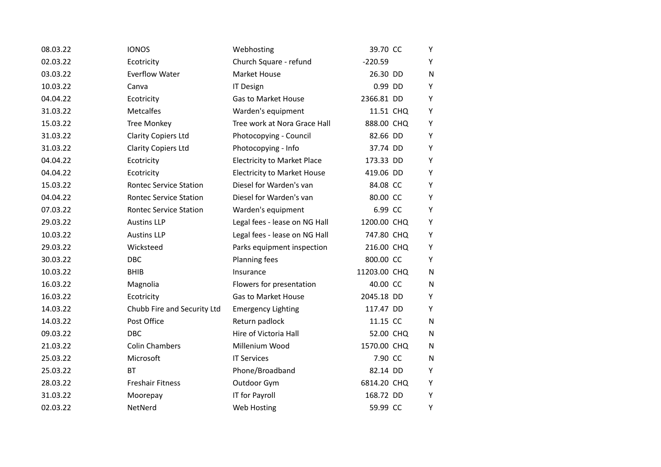| 08.03.22 | <b>IONOS</b>                  | Webhosting                         | 39.70 CC     | Υ         |
|----------|-------------------------------|------------------------------------|--------------|-----------|
| 02.03.22 | Ecotricity                    | Church Square - refund             | $-220.59$    | Y         |
| 03.03.22 | Everflow Water                | Market House                       | 26.30 DD     | N         |
| 10.03.22 | Canva                         | <b>IT Design</b>                   | 0.99 DD      | Y         |
| 04.04.22 | Ecotricity                    | <b>Gas to Market House</b>         | 2366.81 DD   | Υ         |
| 31.03.22 | <b>Metcalfes</b>              | Warden's equipment                 | 11.51 CHQ    | Υ         |
| 15.03.22 | <b>Tree Monkey</b>            | Tree work at Nora Grace Hall       | 888.00 CHQ   | Υ         |
| 31.03.22 | <b>Clarity Copiers Ltd</b>    | Photocopying - Council             | 82.66 DD     | Υ         |
| 31.03.22 | <b>Clarity Copiers Ltd</b>    | Photocopying - Info                | 37.74 DD     | Υ         |
| 04.04.22 | Ecotricity                    | <b>Electricity to Market Place</b> | 173.33 DD    | Υ         |
| 04.04.22 | Ecotricity                    | <b>Electricity to Market House</b> | 419.06 DD    | Y         |
| 15.03.22 | <b>Rontec Service Station</b> | Diesel for Warden's van            | 84.08 CC     | Y         |
| 04.04.22 | <b>Rontec Service Station</b> | Diesel for Warden's van            | 80.00 CC     | Υ         |
| 07.03.22 | <b>Rontec Service Station</b> | Warden's equipment                 | 6.99 CC      | Υ         |
| 29.03.22 | <b>Austins LLP</b>            | Legal fees - lease on NG Hall      | 1200.00 CHQ  | Υ         |
| 10.03.22 | <b>Austins LLP</b>            | Legal fees - lease on NG Hall      | 747.80 CHQ   | Υ         |
| 29.03.22 | Wicksteed                     | Parks equipment inspection         | 216.00 CHQ   | Υ         |
| 30.03.22 | DBC                           | Planning fees                      | 800.00 CC    | Υ         |
| 10.03.22 | <b>BHIB</b>                   | Insurance                          | 11203.00 CHQ | N         |
| 16.03.22 | Magnolia                      | Flowers for presentation           | 40.00 CC     | N         |
| 16.03.22 | Ecotricity                    | <b>Gas to Market House</b>         | 2045.18 DD   | Y         |
| 14.03.22 | Chubb Fire and Security Ltd   | <b>Emergency Lighting</b>          | 117.47 DD    | Y         |
| 14.03.22 | Post Office                   | Return padlock                     | 11.15 CC     | ${\sf N}$ |
| 09.03.22 | <b>DBC</b>                    | Hire of Victoria Hall              | 52.00 CHQ    | N         |
| 21.03.22 | <b>Colin Chambers</b>         | Millenium Wood                     | 1570.00 CHQ  | N         |
| 25.03.22 | Microsoft                     | <b>IT Services</b>                 | 7.90 CC      | N         |
| 25.03.22 | <b>BT</b>                     | Phone/Broadband                    | 82.14 DD     | Υ         |
| 28.03.22 | <b>Freshair Fitness</b>       | Outdoor Gym                        | 6814.20 CHQ  | Y         |
| 31.03.22 | Moorepay                      | IT for Payroll                     | 168.72 DD    | Y         |
| 02.03.22 | NetNerd                       | Web Hosting                        | 59.99 CC     | Υ         |